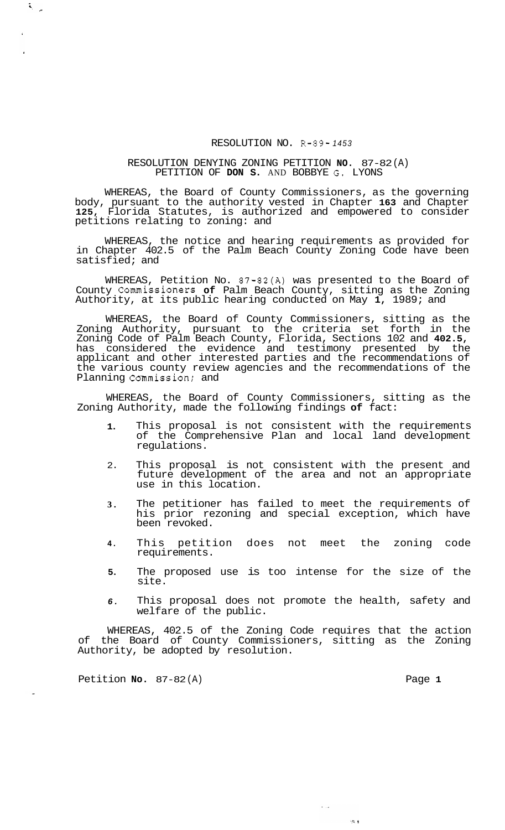## RESOLUTION NO. R-89- *<sup>1453</sup>*

## RESOLUTION DENYING ZONING PETITION **NO.** 87-82 (A) PETITION OF **DON S.** AND BOBBYE **G.** LYONS

WHEREAS, the Board of County Commissioners, as the governing body, pursuant to the authority vested in Chapter **163** and Chapter **125,** Florida Statutes, is authorized and empowered to consider petitions relating to zoning: and

WHEREAS, the notice and hearing requirements as provided for in Chapter 402.5 of the Palm Beach County Zoning Code have been satisfied; and

WHEREAS, Petition No. 87-82(A) was presented to the Board of County Commissioners **of** Palm Beach County, sitting as the Zoning Authority, at its public hearing conducted on May **1,** 1989; and

WHEREAS, the Board of County Commissioners, sitting as the Zoning Authority, pursuant to the criteria set forth in the Zoning Code of Palm Beach County, Florida, Sections 102 and **402.5,**  has considered the evidence and testimony presented by the applicant and other interested parties and the recommendations of the various county review agencies and the recommendations of the Planning Commission; and

WHEREAS, the Board of County Commissioners, sitting as the Zoning Authority, made the following findings **of** fact:

- **1.**  This proposal is not consistent with the requirements of the Comprehensive Plan and local land development regulations.
- 2. This proposal is not consistent with the present and future development of the area and not an appropriate use in this location.
- **3.**  The petitioner has failed to meet the requirements of his prior rezoning and special exception, which have been revoked.
- **4.**  This petition does not meet the zoning code requirements.
- **5.**  The proposed use is too intense for the size of the site.
- *6.*  This proposal does not promote the health, safety and welfare of the public.

 $\sim 100$ 

 $22.1$ 

WHEREAS, 402.5 of the Zoning Code requires that the action of the Board of County Commissioners, sitting as the Zoning Authority, be adopted by resolution.

Petition **No.** 87-82(A) Page 1

 $\tilde{\mathbf{S}}_{\mu\nu\rho\sigma}$